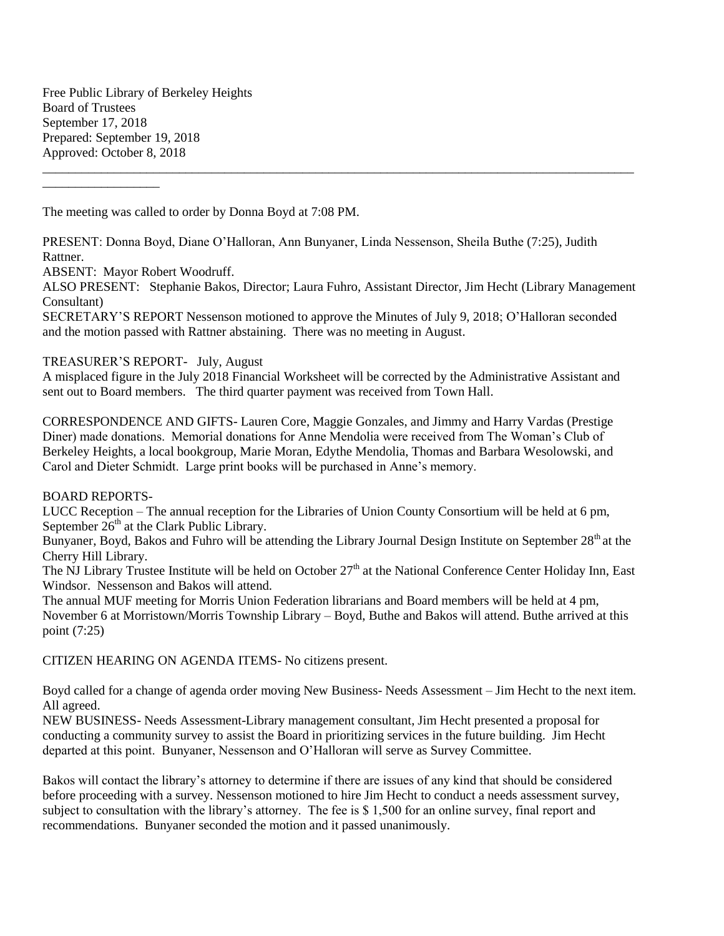Free Public Library of Berkeley Heights Board of Trustees September 17, 2018 Prepared: September 19, 2018 Approved: October 8, 2018

The meeting was called to order by Donna Boyd at 7:08 PM.

PRESENT: Donna Boyd, Diane O'Halloran, Ann Bunyaner, Linda Nessenson, Sheila Buthe (7:25), Judith Rattner.

ABSENT: Mayor Robert Woodruff.

\_\_\_\_\_\_\_\_\_\_\_\_\_\_\_\_\_\_

ALSO PRESENT: Stephanie Bakos, Director; Laura Fuhro, Assistant Director, Jim Hecht (Library Management Consultant)

\_\_\_\_\_\_\_\_\_\_\_\_\_\_\_\_\_\_\_\_\_\_\_\_\_\_\_\_\_\_\_\_\_\_\_\_\_\_\_\_\_\_\_\_\_\_\_\_\_\_\_\_\_\_\_\_\_\_\_\_\_\_\_\_\_\_\_\_\_\_\_\_\_\_\_\_\_\_\_\_\_\_\_\_\_\_\_\_\_\_\_

SECRETARY'S REPORT Nessenson motioned to approve the Minutes of July 9, 2018; O'Halloran seconded and the motion passed with Rattner abstaining. There was no meeting in August.

# TREASURER'S REPORT- July, August

A misplaced figure in the July 2018 Financial Worksheet will be corrected by the Administrative Assistant and sent out to Board members. The third quarter payment was received from Town Hall.

CORRESPONDENCE AND GIFTS- Lauren Core, Maggie Gonzales, and Jimmy and Harry Vardas (Prestige Diner) made donations. Memorial donations for Anne Mendolia were received from The Woman's Club of Berkeley Heights, a local bookgroup, Marie Moran, Edythe Mendolia, Thomas and Barbara Wesolowski, and Carol and Dieter Schmidt. Large print books will be purchased in Anne's memory.

## BOARD REPORTS-

LUCC Reception – The annual reception for the Libraries of Union County Consortium will be held at 6 pm, September  $26<sup>th</sup>$  at the Clark Public Library.

Bunyaner, Boyd, Bakos and Fuhro will be attending the Library Journal Design Institute on September  $28<sup>th</sup>$  at the Cherry Hill Library.

The NJ Library Trustee Institute will be held on October  $27<sup>th</sup>$  at the National Conference Center Holiday Inn, East Windsor. Nessenson and Bakos will attend.

The annual MUF meeting for Morris Union Federation librarians and Board members will be held at 4 pm, November 6 at Morristown/Morris Township Library – Boyd, Buthe and Bakos will attend. Buthe arrived at this point (7:25)

CITIZEN HEARING ON AGENDA ITEMS- No citizens present.

Boyd called for a change of agenda order moving New Business- Needs Assessment – Jim Hecht to the next item. All agreed.

NEW BUSINESS- Needs Assessment-Library management consultant, Jim Hecht presented a proposal for conducting a community survey to assist the Board in prioritizing services in the future building. Jim Hecht departed at this point. Bunyaner, Nessenson and O'Halloran will serve as Survey Committee.

Bakos will contact the library's attorney to determine if there are issues of any kind that should be considered before proceeding with a survey. Nessenson motioned to hire Jim Hecht to conduct a needs assessment survey, subject to consultation with the library's attorney. The fee is \$ 1,500 for an online survey, final report and recommendations. Bunyaner seconded the motion and it passed unanimously.